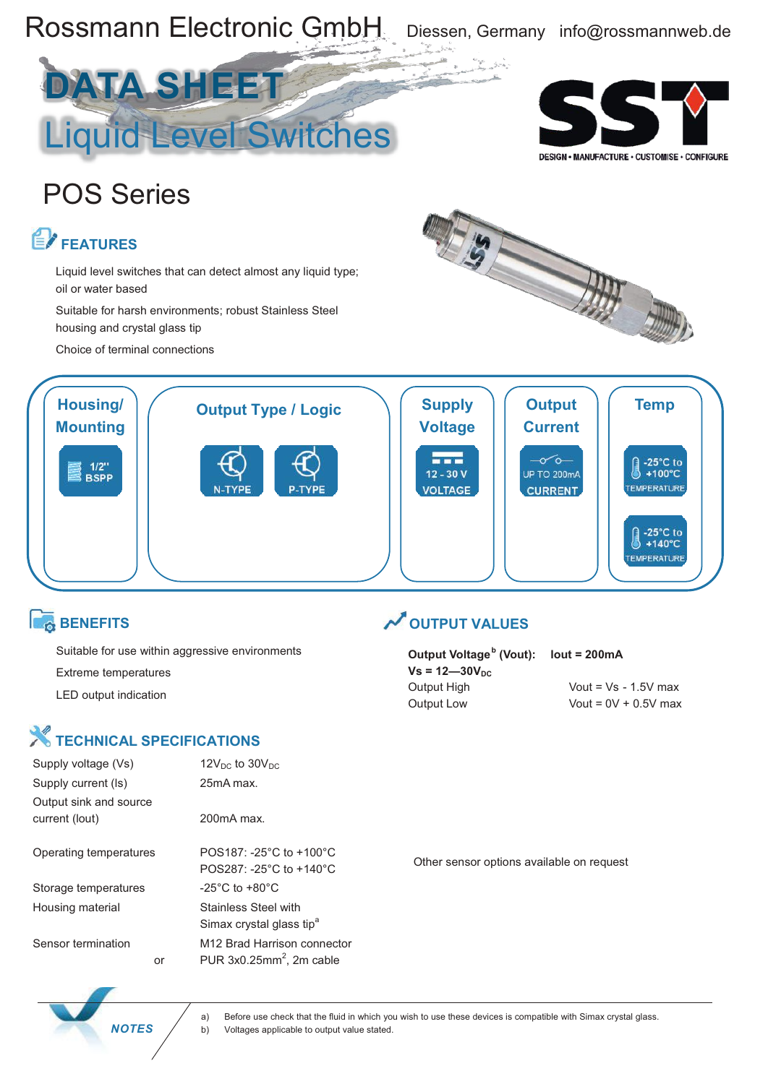

Suitable for use within aggressive environments Extreme temperatures LED output indication

**Output Voltage b (Vout): lout = 200mA**  $Vs = 12 - 30V_{DC}$ Output Low Vout = 0V + 0.5V max

Output High Vout = Vs - 1.5V max

## **X** TECHNICAL SPECIFICATIONS

| Supply voltage (Vs)                      |    | 12 $V_{DC}$ to 30 $V_{DC}$                                               |
|------------------------------------------|----|--------------------------------------------------------------------------|
| Supply current (Is)                      |    | 25mA max.                                                                |
| Output sink and source<br>current (lout) |    | $200 \text{mA max}$                                                      |
| Operating temperatures                   |    | POS187: -25 $^{\circ}$ C to +100 $^{\circ}$ C<br>POS287: -25°C to +140°C |
| Storage temperatures                     |    | $-25^{\circ}$ C to $+80^{\circ}$ C                                       |
| Housing material                         |    | Stainless Steel with<br>Simax crystal glass tip <sup>a</sup>             |
| Sensor termination                       | or | M <sub>12</sub> Brad Harrison connector<br>PUR $3x0.25mm^2$ , 2m cable   |

Other sensor options available on request



a) Before use check that the fluid in which you wish to use these devices is compatible with Simax crystal glass. **NOTES** / b) Voltages applicable to output value stated.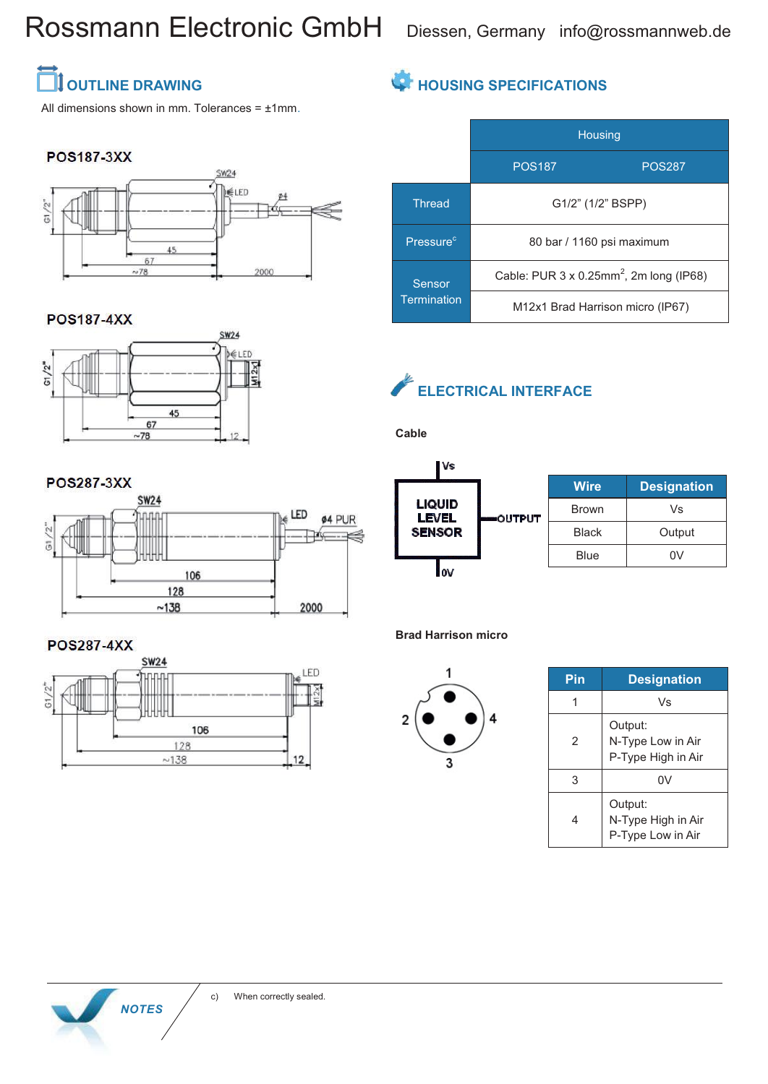# Rossmann Electronic GmbH Diessen, Germany info@rossmannweb.de

### **SEX OUTLINE DRAWING**

All dimensions shown in mm. Tolerances  $= \pm 1$ mm.

#### **POS187-3XX**



#### **POS187-4XX**

**POS287-3XX** 



### **HOUSING SPECIFICATIONS**

|                              | <b>Housing</b>                                              |               |  |
|------------------------------|-------------------------------------------------------------|---------------|--|
|                              | <b>POS187</b>                                               | <b>POS287</b> |  |
| <b>Thread</b>                | G1/2" (1/2" BSPP)                                           |               |  |
| Pressure <sup>c</sup>        | 80 bar / 1160 psi maximum                                   |               |  |
| Sensor<br><b>Termination</b> | Cable: PUR $3 \times 0.25$ mm <sup>2</sup> , 2m long (IP68) |               |  |
|                              | M12x1 Brad Harrison micro (IP67)                            |               |  |

### **ELECTRICAL INTERFACE**

**Cable**

**Vs LIQUID LEVEL** OUT **SENSOR**  $\sim$ 

|     | <b>Wire</b>  | <b>Designation</b> |
|-----|--------------|--------------------|
| PUT | <b>Brown</b> | Vs                 |
|     | <b>Black</b> | Output             |
|     | Blue         | ΩV                 |

**Brad Harrison micro**



| Pin | <b>Designation</b>                                 |  |
|-----|----------------------------------------------------|--|
|     | Vs                                                 |  |
| 2   | Output:<br>N-Type Low in Air<br>P-Type High in Air |  |
| 3   | 0V                                                 |  |
|     | Output:<br>N-Type High in Air<br>P-Type Low in Air |  |



**POS287-4XX** 

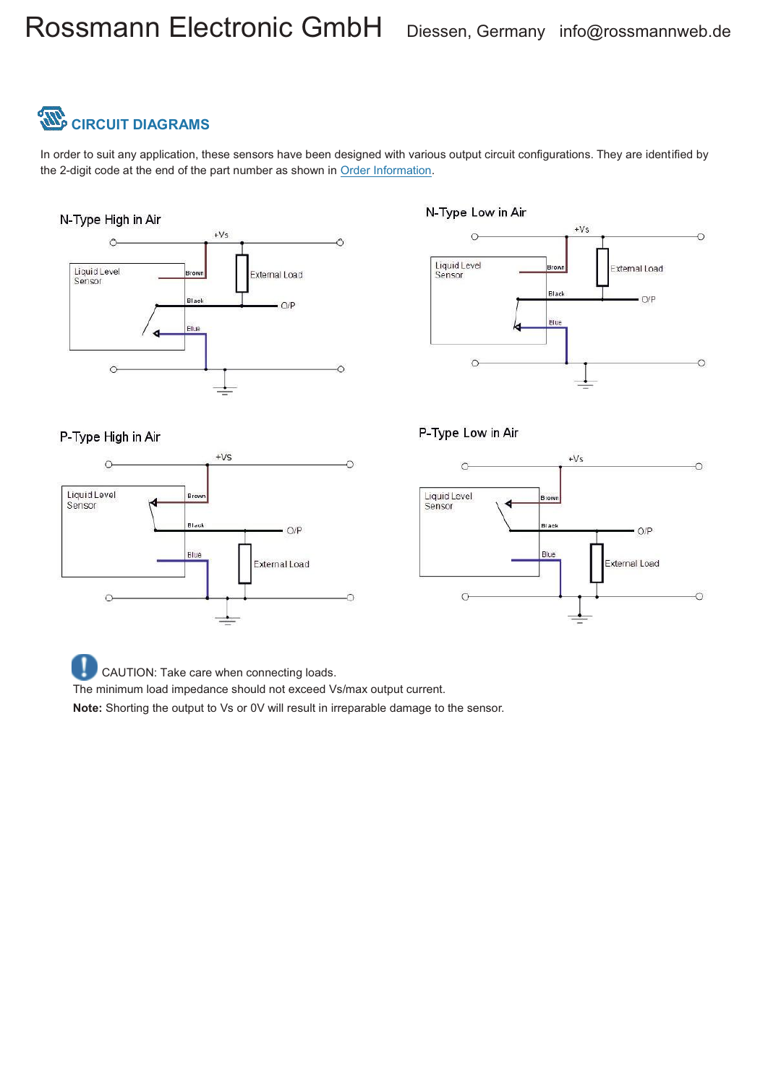# **CIRCUIT DIAGRAMS**

In order to suit any application, these sensors have been designed with various output circuit configurations. They are identified by the 2-digit code at the end of the part number as shown in Order Information.

#### N-Type High in Air



#### N-Type Low in Air



#### P-Type Low in Air





CAUTION: Take care when connecting loads.

The minimum load impedance should not exceed Vs/max output current.

**Note:** Shorting the output to Vs or 0V will result in irreparable damage to the sensor.